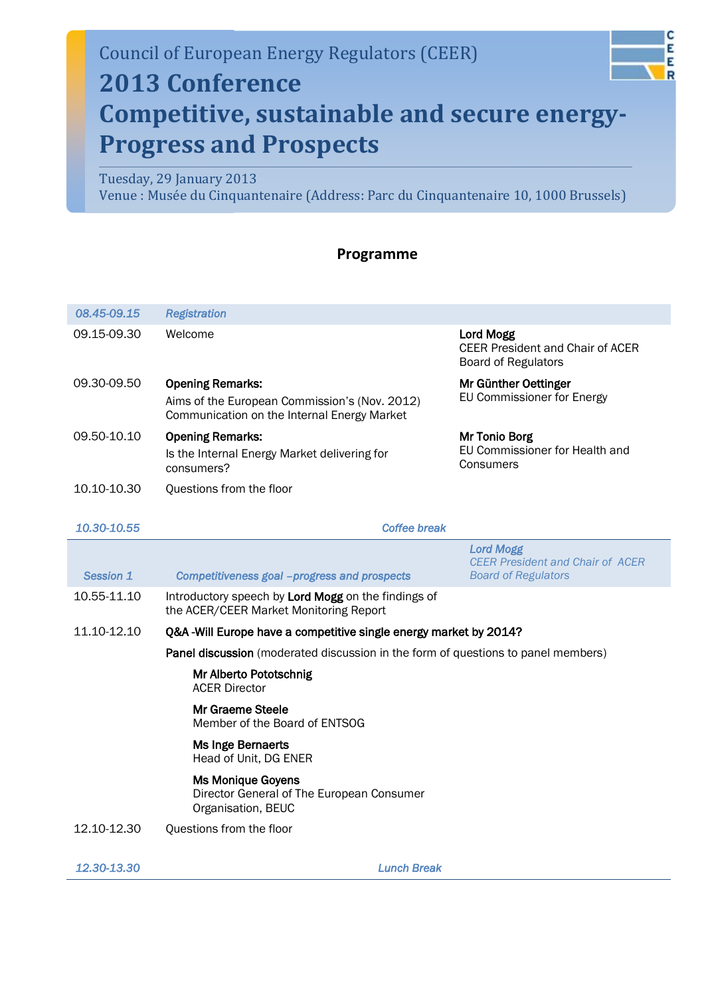# Council of European Energy Regulators (CEER) **2013 Conference**

#### C Ε E R

## **Competitive, sustainable and secure energy-Progress and Prospects**

### Tuesday, 29 January 2013

Venue : Musée du Cinquantenaire (Address: Parc du Cinquantenaire 10, 1000 Brussels)

### **Programme**

| 08.45-09.15                                                                      | <b>Registration</b>                                                                                                     |                                                                                    |  |
|----------------------------------------------------------------------------------|-------------------------------------------------------------------------------------------------------------------------|------------------------------------------------------------------------------------|--|
| 09.15-09.30                                                                      | Welcome                                                                                                                 | Lord Mogg<br><b>CEER President and Chair of ACER</b><br><b>Board of Regulators</b> |  |
| 09.30-09.50                                                                      | <b>Opening Remarks:</b><br>Aims of the European Commission's (Nov. 2012)<br>Communication on the Internal Energy Market | Mr Günther Oettinger<br>EU Commissioner for Energy                                 |  |
| 09.50-10.10                                                                      | <b>Opening Remarks:</b><br>Is the Internal Energy Market delivering for<br>consumers?                                   | Mr Tonio Borg<br>EU Commissioner for Health and<br>Consumers                       |  |
| 10.10-10.30                                                                      | Questions from the floor                                                                                                |                                                                                    |  |
|                                                                                  |                                                                                                                         |                                                                                    |  |
| 10.30-10.55                                                                      | <b>Coffee break</b>                                                                                                     |                                                                                    |  |
| Session 1                                                                        |                                                                                                                         | <b>Lord Mogg</b><br><b>CEER President and Chair of ACER</b>                        |  |
|                                                                                  | Competitiveness goal -progress and prospects                                                                            | <b>Board of Regulators</b>                                                         |  |
| 10.55-11.10                                                                      | Introductory speech by Lord Mogg on the findings of<br>the ACER/CEER Market Monitoring Report                           |                                                                                    |  |
| 11.10-12.10<br>Q&A -Will Europe have a competitive single energy market by 2014? |                                                                                                                         |                                                                                    |  |
|                                                                                  | Panel discussion (moderated discussion in the form of questions to panel members)                                       |                                                                                    |  |
|                                                                                  | Mr Alberto Pototschnig<br><b>ACER Director</b>                                                                          |                                                                                    |  |
|                                                                                  | Mr Graeme Steele<br>Member of the Board of ENTSOG                                                                       |                                                                                    |  |
|                                                                                  | Ms Inge Bernaerts<br>Head of Unit, DG ENER                                                                              |                                                                                    |  |
|                                                                                  | <b>Ms Monique Goyens</b><br>Director General of The European Consumer<br>Organisation, BEUC                             |                                                                                    |  |
| 12.10-12.30                                                                      | Questions from the floor                                                                                                |                                                                                    |  |
|                                                                                  |                                                                                                                         |                                                                                    |  |
| 12.30-13.30                                                                      | <b>Lunch Break</b>                                                                                                      |                                                                                    |  |